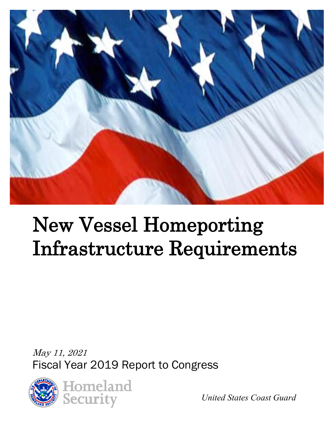

# New Vessel Homeporting Infrastructure Requirements

May 11, 2021 Fiscal Year 2019 Report to Congress



*United States Coast Guard*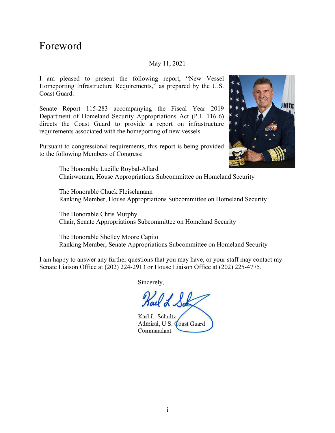## Foreword

#### May 11, 2021

I am pleased to present the following report, "New Vessel Homeporting Infrastructure Requirements," as prepared by the U.S. Coast Guard.

Senate Report 115-283 accompanying the Fiscal Year 2019 Department of Homeland Security Appropriations Act (P.L. 116-6**)**  directs the Coast Guard to provide a report on infrastructure requirements associated with the homeporting of new vessels.

Pursuant to congressional requirements, this report is being provided to the following Members of Congress:



The Honorable Lucille Roybal-Allard Chairwoman, House Appropriations Subcommittee on Homeland Security

The Honorable Chuck Fleischmann Ranking Member, House Appropriations Subcommittee on Homeland Security

The Honorable Chris Murphy Chair, Senate Appropriations Subcommittee on Homeland Security

The Honorable Shelley Moore Capito Ranking Member, Senate Appropriations Subcommittee on Homeland Security

I am happy to answer any further questions that you may have, or your staff may contact my Senate Liaison Office at (202) 224-2913 or House Liaison Office at (202) 225-4775.

Sincerely,

*!)/JI.* 

Karl L. Schultz Admiral, U.S. Coast Guard Commandant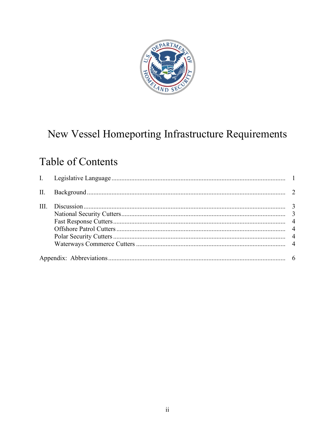

# New Vessel Homeporting Infrastructure Requirements

## **Table of Contents**

| II.  |  |
|------|--|
| III. |  |
|      |  |
|      |  |
|      |  |
|      |  |
|      |  |
|      |  |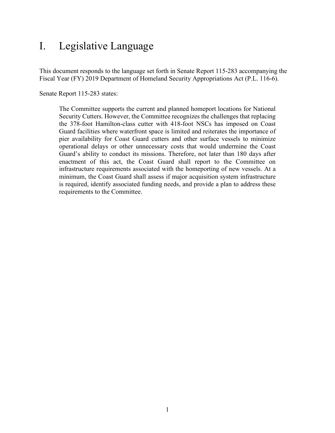## <span id="page-3-0"></span>I. Legislative Language

 Fiscal Year (FY) 2019 Department of Homeland Security Appropriations Act (P.L. 116-6). Senate Report 115-283 states: This document responds to the language set forth in Senate Report 115-283 accompanying the

The Committee supports the current and planned homeport locations for National Security Cutters. However, the Committee recognizes the challenges that replacing the 378-foot Hamilton-class cutter with 418-foot NSCs has imposed on Coast Guard facilities where waterfront space is limited and reiterates the importance of pier availability for Coast Guard cutters and other surface vessels to minimize operational delays or other unnecessary costs that would undermine the Coast Guard's ability to conduct its missions. Therefore, not later than 180 days after enactment of this act, the Coast Guard shall report to the Committee on infrastructure requirements associated with the homeporting of new vessels. At a minimum, the Coast Guard shall assess if major acquisition system infrastructure is required, identify associated funding needs, and provide a plan to address these requirements to the Committee.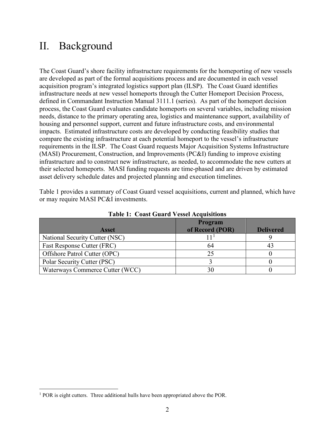## <span id="page-4-0"></span>II. Background

 infrastructure needs at new vessel homeports through the Cutter Homeport Decision Process, housing and personnel support, current and future infrastructure costs, and environmental impacts. Estimated infrastructure costs are developed by conducting feasibility studies that their selected homeports. MASI funding requests are time-phased and are driven by estimated The Coast Guard's shore facility infrastructure requirements for the homeporting of new vessels are developed as part of the formal acquisitions process and are documented in each vessel acquisition program's integrated logistics support plan (ILSP). The Coast Guard identifies defined in Commandant Instruction Manual 3111.1 (series). As part of the homeport decision process, the Coast Guard evaluates candidate homeports on several variables, including mission needs, distance to the primary operating area, logistics and maintenance support, availability of compare the existing infrastructure at each potential homeport to the vessel's infrastructure requirements in the ILSP. The Coast Guard requests Major Acquisition Systems Infrastructure (MASI) Procurement, Construction, and Improvements (PC&I) funding to improve existing infrastructure and to construct new infrastructure, as needed, to accommodate the new cutters at asset delivery schedule dates and projected planning and execution timelines.

Table 1 provides a summary of Coast Guard vessel acquisitions, current and planned, which have or may require MASI PC&I investments.

|                                 | Program         |                  |
|---------------------------------|-----------------|------------------|
| <b>Asset</b>                    | of Record (POR) | <b>Delivered</b> |
| National Security Cutter (NSC)  |                 |                  |
| Fast Response Cutter (FRC)      | 64              |                  |
| Offshore Patrol Cutter (OPC)    | 25              |                  |
| Polar Security Cutter (PSC)     |                 |                  |
| Waterways Commerce Cutter (WCC) | 30              |                  |

 **Table 1: Coast Guard Vessel Acquisitions** 

<span id="page-4-1"></span> $<sup>1</sup>$  POR is eight cutters. Three additional hulls have been appropriated above the POR.</sup>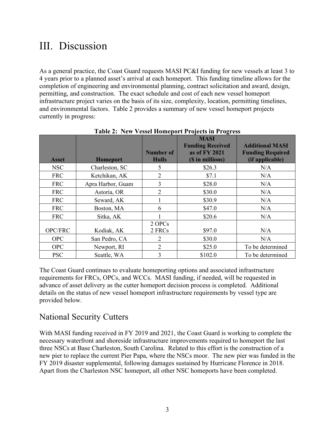## <span id="page-5-0"></span>III. Discussion

 permitting, and construction. The exact schedule and cost of each new vessel homeport infrastructure project varies on the basis of its size, complexity, location, permitting timelines, As a general practice, the Coast Guard requests MASI PC&I funding for new vessels at least 3 to 4 years prior to a planned asset's arrival at each homeport. This funding timeline allows for the completion of engineering and environmental planning, contract solicitation and award, design, and environmental factors. Table 2 provides a summary of new vessel homeport projects currently in progress:

|                |                   | Number of      | <b>MASI</b><br><b>Funding Received</b><br>as of FY 2021 | <b>Additional MASI</b><br><b>Funding Required</b> |
|----------------|-------------------|----------------|---------------------------------------------------------|---------------------------------------------------|
| <b>Asset</b>   | <b>Homeport</b>   | <b>Hulls</b>   | (\$ in millions)                                        | (if applicable)                                   |
| NSC            | Charleston, SC    | 5              | \$26.3                                                  | N/A                                               |
| <b>FRC</b>     | Ketchikan, AK     | $\overline{2}$ | \$7.1                                                   | N/A                                               |
| <b>FRC</b>     | Apra Harbor, Guam | 3              | \$28.0                                                  | N/A                                               |
| <b>FRC</b>     | Astoria, OR       | $\overline{2}$ | \$30.0                                                  | N/A                                               |
| <b>FRC</b>     | Seward, AK        |                | \$30.9                                                  | N/A                                               |
| <b>FRC</b>     | Boston, MA        | 6              | \$47.0                                                  | N/A                                               |
| <b>FRC</b>     | Sitka, AK         |                | \$20.6                                                  | N/A                                               |
|                |                   | 2 OPCs         |                                                         |                                                   |
| <b>OPC/FRC</b> | Kodiak, AK        | 2 FRCs         | \$97.0                                                  | N/A                                               |
| <b>OPC</b>     | San Pedro, CA     | 2              | \$30.0                                                  | N/A                                               |
| <b>OPC</b>     | Newport, RI       | $\overline{2}$ | \$25.0                                                  | To be determined                                  |
| <b>PSC</b>     | Seattle, WA       | 3              | \$102.0                                                 | To be determined                                  |

 **Table 2: New Vessel Homeport Projects in Progress** 

The Coast Guard continues to evaluate homeporting options and associated infrastructure requirements for FRCs, OPCs, and WCCs. MASI funding, if needed, will be requested in advance of asset delivery as the cutter homeport decision process is completed. Additional details on the status of new vessel homeport infrastructure requirements by vessel type are provided below.

#### <span id="page-5-1"></span>National Security Cutters

With MASI funding received in FY 2019 and 2021, the Coast Guard is working to complete the necessary waterfront and shoreside infrastructure improvements required to homeport the last three NSCs at Base Charleston, South Carolina. Related to this effort is the construction of a new pier to replace the current Pier Papa, where the NSCs moor. The new pier was funded in the FY 2019 disaster supplemental, following damages sustained by Hurricane Florence in 2018. Apart from the Charleston NSC homeport, all other NSC homeports have been completed.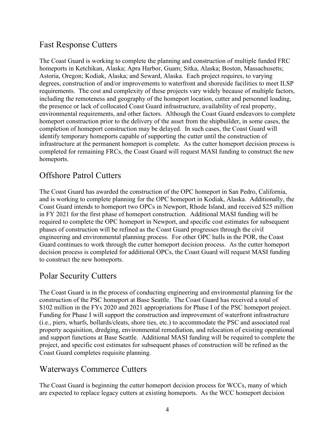### <span id="page-6-0"></span>Fast Response Cutters

 degrees, construction of and/or improvements to waterfront and shoreside facilities to meet ILSP The Coast Guard is working to complete the planning and construction of multiple funded FRC homeports in Ketchikan, Alaska; Apra Harbor, Guam; Sitka, Alaska; Boston, Massachusetts; Astoria, Oregon; Kodiak, Alaska; and Seward, Alaska. Each project requires, to varying requirements. The cost and complexity of these projects vary widely because of multiple factors, including the remoteness and geography of the homeport location, cutter and personnel loading, the presence or lack of collocated Coast Guard infrastructure, availability of real property, environmental requirements, and other factors. Although the Coast Guard endeavors to complete homeport construction prior to the delivery of the asset from the shipbuilder, in some cases, the completion of homeport construction may be delayed. In such cases, the Coast Guard will identify temporary homeports capable of supporting the cutter until the construction of infrastructure at the permanent homeport is complete. As the cutter homeport decision process is completed for remaining FRCs, the Coast Guard will request MASI funding to construct the new homeports.

### <span id="page-6-1"></span>Offshore Patrol Cutters

 Coast Guard intends to homeport two OPCs in Newport, Rhode Island, and received \$25 million engineering and environmental planning process. For other OPC hulls in the POR, the Coast The Coast Guard has awarded the construction of the OPC homeport in San Pedro, California, and is working to complete planning for the OPC homeport in Kodiak, Alaska. Additionally, the in FY 2021 for the first phase of homeport construction. Additional MASI funding will be required to complete the OPC homeport in Newport, and specific cost estimates for subsequent phases of construction will be refined as the Coast Guard progresses through the civil Guard continues to work through the cutter homeport decision process. As the cutter homeport decision process is completed for additional OPCs, the Coast Guard will request MASI funding to construct the new homeports.

## <span id="page-6-2"></span>Polar Security Cutters

 \$102 million in the FYs 2020 and 2021 appropriations for Phase I of the PSC homeport project. The Coast Guard is in the process of conducting engineering and environmental planning for the construction of the PSC homeport at Base Seattle. The Coast Guard has received a total of Funding for Phase I will support the construction and improvement of waterfront infrastructure (i.e., piers, wharfs, bollards/cleats, shore ties, etc.) to accommodate the PSC and associated real property acquisition, dredging, environmental remediation, and relocation of existing operational and support functions at Base Seattle. Additional MASI funding will be required to complete the project, and specific cost estimates for subsequent phases of construction will be refined as the Coast Guard completes requisite planning.

#### <span id="page-6-3"></span>Waterways Commerce Cutters

The Coast Guard is beginning the cutter homeport decision process for WCCs, many of which are expected to replace legacy cutters at existing homeports. As the WCC homeport decision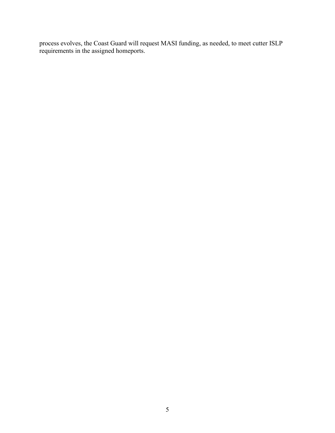process evolves, the Coast Guard will request MASI funding, as needed, to meet cutter ISLP requirements in the assigned homeports.